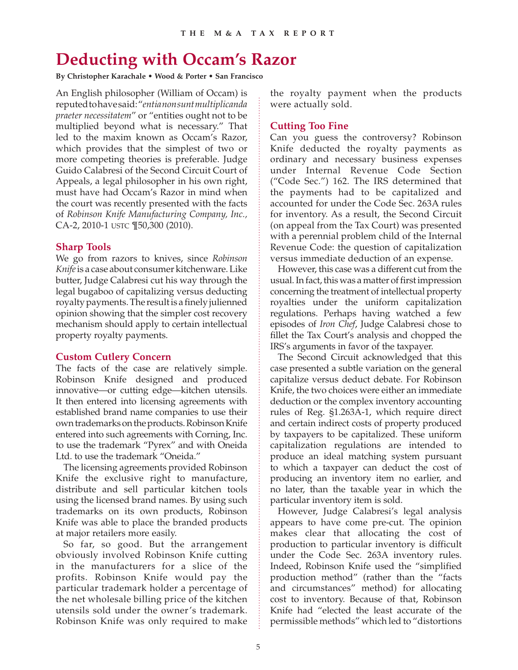# **Deducting with Occam's Razor**

**By Christopher Karachale • Wood & Porter • San Francisco**

An English philosopher (William of Occam) is reputed to have said: "*entia non sunt multiplicanda praeter necessitatem*" or "entities ought not to be multiplied beyond what is necessary." That led to the maxim known as Occam's Razor, which provides that the simplest of two or more competing theories is preferable. Judge Guido Calabresi of the Second Circuit Court of Appeals, a legal philosopher in his own right, must have had Occam's Razor in mind when the court was recently presented with the facts of *Robinson Knife Manufacturing Company, Inc.,*  CA-2, 2010-1 USTC ¶50,300 (2010).

#### **Sharp Tools**

We go from razors to knives, since *Robinson Knife* is a case about consumer kitchenware. Like butter, Judge Calabresi cut his way through the legal bugaboo of capitalizing versus deducting royalty payments. The result is a finely julienned opinion showing that the simpler cost recovery mechanism should apply to certain intellectual property royalty payments.

#### **Custom Cutlery Concern**

The facts of the case are relatively simple. Robinson Knife designed and produced innovative—or cutting edge—kitchen utensils. It then entered into licensing agreements with established brand name companies to use their own trademarks on the products. Robinson Knife entered into such agreements with Corning, Inc. to use the trademark "Pyrex" and with Oneida Ltd. to use the trademark "Oneida."

The licensing agreements provided Robinson Knife the exclusive right to manufacture, distribute and sell particular kitchen tools using the licensed brand names. By using such trademarks on its own products, Robinson Knife was able to place the branded products at major retailers more easily.

So far, so good. But the arrangement obviously involved Robinson Knife cutting in the manufacturers for a slice of the profits. Robinson Knife would pay the particular trademark holder a percentage of the net wholesale billing price of the kitchen utensils sold under the owner's trademark. Robinson Knife was only required to make

the royalty payment when the products were actually sold.

# **Cutting Too Fine**

Can you guess the controversy? Robinson Knife deducted the royalty payments as ordinary and necessary business expenses under Internal Revenue Code Section ("Code Sec.") 162. The IRS determined that the payments had to be capitalized and accounted for under the Code Sec. 263A rules for inventory. As a result, the Second Circuit (on appeal from the Tax Court) was presented with a perennial problem child of the Internal Revenue Code: the question of capitalization versus immediate deduction of an expense.

However, this case was a different cut from the usual. In fact, this was a matter of first impression concerning the treatment of intellectual property royalties under the uniform capitalization regulations. Perhaps having watched a few episodes of *Iron Chef*, Judge Calabresi chose to fillet the Tax Court's analysis and chopped the IRS's arguments in favor of the taxpayer.

The Second Circuit acknowledged that this case presented a subtle variation on the general capitalize versus deduct debate. For Robinson Knife, the two choices were either an immediate deduction or the complex inventory accounting rules of Reg. §1.263A-1, which require direct and certain indirect costs of property produced by taxpayers to be capitalized. These uniform capitalization regulations are intended to produce an ideal matching system pursuant to which a taxpayer can deduct the cost of producing an inventory item no earlier, and no later, than the taxable year in which the particular inventory item is sold.

However, Judge Calabresi's legal analysis appears to have come pre-cut. The opinion makes clear that allocating the cost of production to particular inventory is difficult under the Code Sec. 263A inventory rules. Indeed, Robinson Knife used the "simplified production method" (rather than the "facts and circumstances" method) for allocating cost to inventory. Because of that, Robinson Knife had "elected the least accurate of the permissible methods" which led to "distortions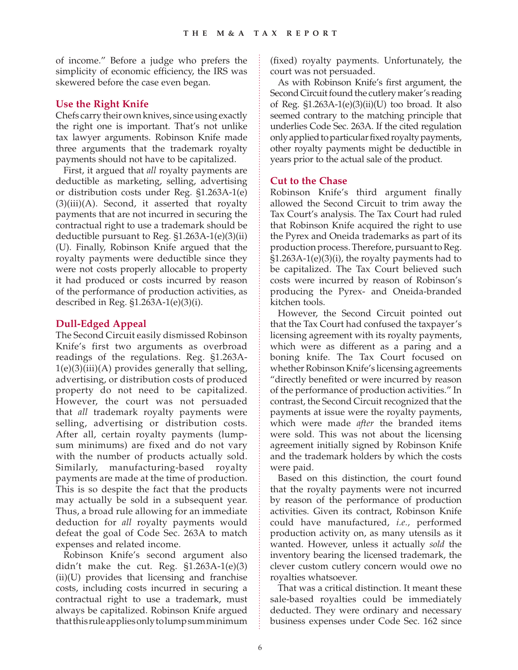of income." Before a judge who prefers the simplicity of economic efficiency, the IRS was skewered before the case even began.

### **Use the Right Knife**

Chefs carry their own knives, since using exactly the right one is important. That's not unlike tax lawyer arguments. Robinson Knife made three arguments that the trademark royalty payments should not have to be capitalized.

First, it argued that *all* royalty payments are deductible as marketing, selling, advertising or distribution costs under Reg. §1.263A-1(e)  $(3)(iii)(A)$ . Second, it asserted that royalty payments that are not incurred in securing the contractual right to use a trademark should be deductible pursuant to Reg. §1.263A-1(e)(3)(ii) (U). Finally, Robinson Knife argued that the royalty payments were deductible since they were not costs properly allocable to property it had produced or costs incurred by reason of the performance of production activities, as described in Reg. §1.263A-1(e)(3)(i).

# **Dull-Edged Appeal**

The Second Circuit easily dismissed Robinson Knife's first two arguments as overbroad readings of the regulations. Reg. §1.263A- $1(e)(3)(iii)(A)$  provides generally that selling, advertising, or distribution costs of produced property do not need to be capitalized. However, the court was not persuaded that *all* trademark royalty payments were selling, advertising or distribution costs. After all, certain royalty payments (lumpsum minimums) are fixed and do not vary with the number of products actually sold. Similarly, manufacturing-based royalty payments are made at the time of production. This is so despite the fact that the products may actually be sold in a subsequent year. Thus, a broad rule allowing for an immediate deduction for *all* royalty payments would defeat the goal of Code Sec. 263A to match expenses and related income.

Robinson Knife's second argument also didn't make the cut. Reg.  $$1.263A-1(e)(3)$ (ii)(U) provides that licensing and franchise costs, including costs incurred in securing a contractual right to use a trademark, must always be capitalized. Robinson Knife argued that this rule applies only to lump sum minimum (fixed) royalty payments. Unfortunately, the court was not persuaded.

As with Robinson Knife's first argument, the Second Circuit found the cutlery maker's reading of Reg.  $$1.263A-1(e)(3)(ii)(U)$  too broad. It also seemed contrary to the matching principle that underlies Code Sec. 263A. If the cited regulation only applied to particular fixed royalty payments, other royalty payments might be deductible in years prior to the actual sale of the product.

#### **Cut to the Chase**

Robinson Knife's third argument finally allowed the Second Circuit to trim away the Tax Court's analysis. The Tax Court had ruled that Robinson Knife acquired the right to use the Pyrex and Oneida trademarks as part of its production process. Therefore, pursuant to Reg. §1.263A-1(e)(3)(i), the royalty payments had to be capitalized. The Tax Court believed such costs were incurred by reason of Robinson's producing the Pyrex- and Oneida-branded kitchen tools.

However, the Second Circuit pointed out that the Tax Court had confused the taxpayer's licensing agreement with its royalty payments, which were as different as a paring and a boning knife. The Tax Court focused on whether Robinson Knife's licensing agreements "directly benefited or were incurred by reason of the performance of production activities." In contrast, the Second Circuit recognized that the payments at issue were the royalty payments, which were made *after* the branded items were sold. This was not about the licensing agreement initially signed by Robinson Knife and the trademark holders by which the costs were paid.

Based on this distinction, the court found that the royalty payments were not incurred by reason of the performance of production activities. Given its contract, Robinson Knife could have manufactured, *i.e.,* performed production activity on, as many utensils as it wanted. However, unless it actually *sold* the inventory bearing the licensed trademark, the clever custom cutlery concern would owe no royalties whatsoever.

That was a critical distinction. It meant these sale-based royalties could be immediately deducted. They were ordinary and necessary business expenses under Code Sec. 162 since